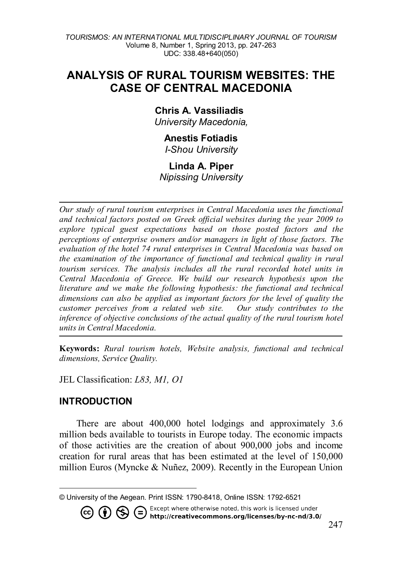## **ANALYSIS OF RURAL TOURISM WEBSITES: THE CASE OF CENTRAL MACEDONIA**

#### **Chris A. Vassiliadis[1](#page-0-0)** *University Macedonia,*

# **Anestis Fotiadis**

*I-Shou University*

### **Linda A. Piper**

*Nipissing University*

*Our study of rural tourism enterprises in Central Macedonia uses the functional and technical factors posted on Greek official websites during the year 2009 to explore typical guest expectations based on those posted factors and the perceptions of enterprise owners and/or managers in light of those factors. The evaluation of the hotel 74 rural enterprises in Central Macedonia was based on the examination of the importance of functional and technical quality in rural tourism services. The analysis includes all the rural recorded hotel units in Central Macedonia of Greece. We build our research hypothesis upon the literature and we make the following hypothesis: the functional and technical dimensions can also be applied as important factors for the level of quality the customer perceives from a related web site. Our study contributes to the inference of objective conclusions of the actual quality of the rural tourism hotel units in Central Macedonia.* 

**Keywords:** *Rural tourism hotels, Website analysis, functional and technical dimensions, Service Quality.*

JEL Classification: *L83, M1, O1*

### **INTRODUCTION**

There are about 400,000 hotel lodgings and approximately 3.6 million beds available to tourists in Europe today. The economic impacts of those activities are the creation of about 900,000 jobs and income creation for rural areas that has been estimated at the level of 150,000 million Euros (Myncke & Nuñez, 2009). Recently in the European Union

Except where otherwise noted, this work is licensed under<br>http://creativecommons.org/licenses/by-nc-nd/3.0/

<span id="page-0-0"></span> $\overline{a}$ © University of the Aegean. Print ISSN: 1790-8418, Online ISSN: 1792-6521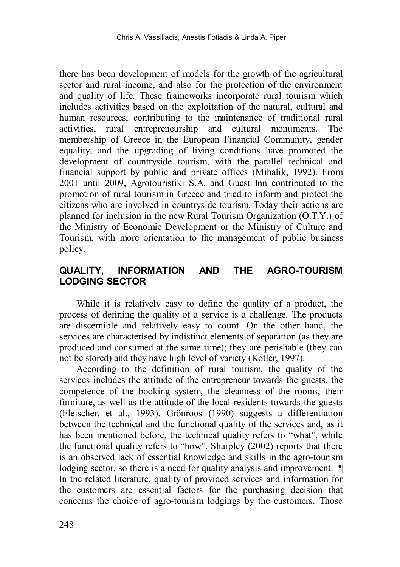there has been development of models for the growth of the agricultural sector and rural income, and also for the protection of the environment and quality of life. These frameworks incorporate rural tourism which includes activities based on the exploitation of the natural, cultural and human resources, contributing to the maintenance of traditional rural activities, rural entrepreneurship and cultural monuments. The membership of Greece in the European Financial Community, gender equality, and the upgrading of living conditions have promoted the development of countryside tourism, with the parallel technical and financial support by public and private offices (Mihalik, 1992). From 2001 until 2009, Agrotouristiki S.A. and Guest Inn contributed to the promotion of rural tourism in Greece and tried to inform and protect the citizens who are involved in countryside tourism. Today their actions are planned for inclusion in the new Rural Tourism Organization (O.T.Y.) of the Ministry of Economic Development or the Ministry of Culture and Tourism, with more orientation to the management of public business policy.

### **QUALITY, INFORMATION AND THE AGRO-TOURISM LODGING SECTOR**

While it is relatively easy to define the quality of a product, the process of defining the quality of a service is a challenge. The products are discernible and relatively easy to count. On the other hand, the services are characterised by indistinct elements of separation (as they are produced and consumed at the same time); they are perishable (they can not be stored) and they have high level of variety (Kotler, 1997).

According to the definition of rural tourism, the quality of the services includes the attitude of the entrepreneur towards the guests, the competence of the booking system, the cleanness of the rooms, their furniture, as well as the attitude of the local residents towards the guests (Fleischer, et al., 1993). Grönroos (1990) suggests a differentiation between the technical and the functional quality of the services and, as it has been mentioned before, the technical quality refers to "what", while the functional quality refers to "how". Sharpley (2002) reports that there is an observed lack of essential knowledge and skills in the agro-tourism lodging sector, so there is a need for quality analysis and improvement. ¶ In the related literature, quality of provided services and information for the customers are essential factors for the purchasing decision that concerns the choice of agro-tourism lodgings by the customers. Those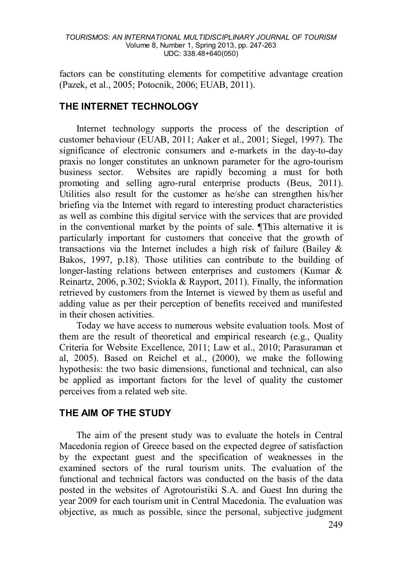factors can be constituting elements for competitive advantage creation (Pazek, et al., 2005; Potocnik, 2006; EUAB, 2011).

### **THE INTERNET TECHNOLOGY**

Internet technology supports the process of the description of customer behaviour (EUAB, 2011; Aaker et al., 2001; Siegel, 1997). The significance of electronic consumers and e-markets in the day-to-day praxis no longer constitutes an unknown parameter for the agro-tourism<br>business sector. Websites are rapidly becoming a must for both Websites are rapidly becoming a must for both promoting and selling agro-rural enterprise products (Beus, 2011). Utilities also result for the customer as he/she can strengthen his/her briefing via the Internet with regard to interesting product characteristics as well as combine this digital service with the services that are provided in the conventional market by the points of sale. ¶This alternative it is particularly important for customers that conceive that the growth of transactions via the Internet includes a high risk of failure (Bailey  $\&$ Bakos, 1997, p.18). Those utilities can contribute to the building of longer-lasting relations between enterprises and customers (Kumar & Reinartz, 2006, p.302; Sviokla & Rayport, 2011). Finally, the information retrieved by customers from the Internet is viewed by them as useful and adding value as per their perception of benefits received and manifested in their chosen activities.

Today we have access to numerous website evaluation tools. Most of them are the result of theoretical and empirical research (e.g., Quality Criteria for Website Excellence, 2011; Law et al., 2010; Parasuraman et al, 2005). Based on Reichel et al., (2000), we make the following hypothesis: the two basic dimensions, functional and technical, can also be applied as important factors for the level of quality the customer perceives from a related web site.

### **THE AIM OF THE STUDY**

The aim of the present study was to evaluate the hotels in Central Macedonia region of Greece based on the expected degree of satisfaction by the expectant guest and the specification of weaknesses in the examined sectors of the rural tourism units. The evaluation of the functional and technical factors was conducted on the basis of the data posted in the websites of Agrotouristiki S.A. and Guest Inn during the year 2009 for each tourism unit in Central Macedonia. The evaluation was objective, as much as possible, since the personal, subjective judgment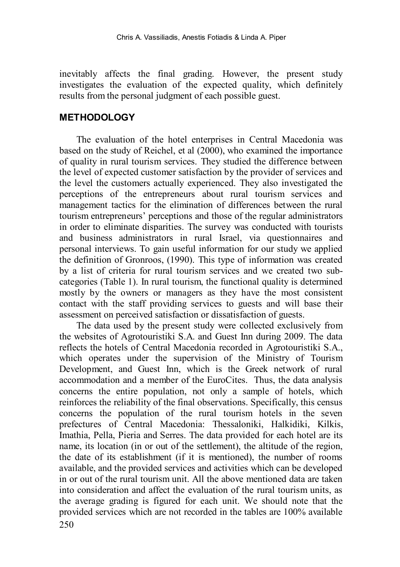inevitably affects the final grading. However, the present study investigates the evaluation of the expected quality, which definitely results from the personal judgment of each possible guest.

#### **METHODOLOGY**

The evaluation of the hotel enterprises in Central Macedonia was based on the study of Reichel, et al (2000), who examined the importance of quality in rural tourism services. They studied the difference between the level of expected customer satisfaction by the provider of services and the level the customers actually experienced. They also investigated the perceptions of the entrepreneurs about rural tourism services and management tactics for the elimination of differences between the rural tourism entrepreneurs' perceptions and those of the regular administrators in order to eliminate disparities. The survey was conducted with tourists and business administrators in rural Israel, via questionnaires and personal interviews. To gain useful information for our study we applied the definition of Gronroos, (1990). This type of information was created by a list of criteria for rural tourism services and we created two subcategories (Table 1). In rural tourism, the functional quality is determined mostly by the owners or managers as they have the most consistent contact with the staff providing services to guests and will base their assessment on perceived satisfaction or dissatisfaction of guests.

The data used by the present study were collected exclusively from the websites of Agrotouristiki S.A. and Guest Inn during 2009. The data reflects the hotels of Central Macedonia recorded in Agrotouristiki S.A., which operates under the supervision of the Ministry of Tourism Development, and Guest Inn, which is the Greek network of rural accommodation and a member of the EuroCites. Thus, the data analysis concerns the entire population, not only a sample of hotels, which reinforces the reliability of the final observations. Specifically, this census concerns the population of the rural tourism hotels in the seven prefectures of Central Macedonia: Thessaloniki, Halkidiki, Kilkis, Imathia, Pella, Pieria and Serres. The data provided for each hotel are its name, its location (in or out of the settlement), the altitude of the region, the date of its establishment (if it is mentioned), the number of rooms available, and the provided services and activities which can be developed in or out of the rural tourism unit. All the above mentioned data are taken into consideration and affect the evaluation of the rural tourism units, as the average grading is figured for each unit. We should note that the provided services which are not recorded in the tables are 100% available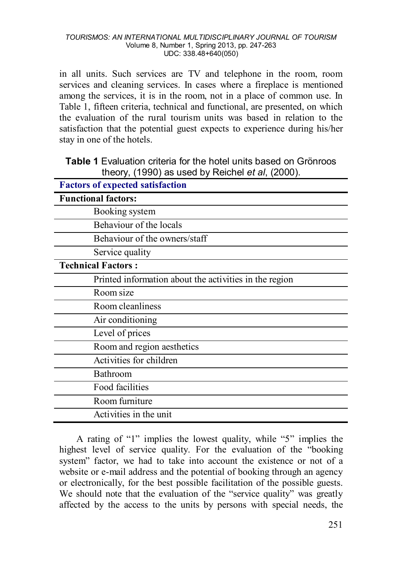in all units. Such services are TV and telephone in the room, room services and cleaning services. In cases where a fireplace is mentioned among the services, it is in the room, not in a place of common use. In Table 1, fifteen criteria, technical and functional, are presented, on which the evaluation of the rural tourism units was based in relation to the satisfaction that the potential guest expects to experience during his/her stay in one of the hotels.

|  |                                                  | <b>Table 1</b> Evaluation criteria for the hotel units based on Grönroos |
|--|--------------------------------------------------|--------------------------------------------------------------------------|
|  | theory, (1990) as used by Reichel et al, (2000). |                                                                          |

| <b>Factors of expected satisfaction</b>                |
|--------------------------------------------------------|
| <b>Functional factors:</b>                             |
| Booking system                                         |
| Behaviour of the locals                                |
| Behaviour of the owners/staff                          |
| Service quality                                        |
| <b>Technical Factors:</b>                              |
| Printed information about the activities in the region |
| Room size                                              |
| Room cleanliness                                       |
| Air conditioning                                       |
| Level of prices                                        |
| Room and region aesthetics                             |
| Activities for children                                |
| Bathroom                                               |
| Food facilities                                        |
| Room furniture                                         |
| Activities in the unit                                 |

A rating of "1" implies the lowest quality, while "5" implies the highest level of service quality. For the evaluation of the "booking system" factor, we had to take into account the existence or not of a website or e-mail address and the potential of booking through an agency or electronically, for the best possible facilitation of the possible guests. We should note that the evaluation of the "service quality" was greatly affected by the access to the units by persons with special needs, the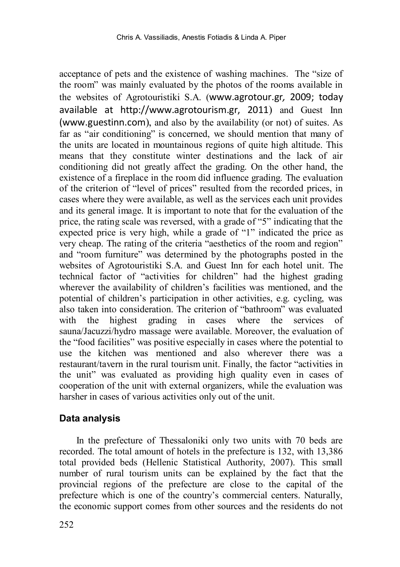acceptance of pets and the existence of washing machines. The "size of the room" was mainly evaluated by the photos of the rooms available in the websites of Agrotouristiki S.A. ([www.agrotour.gr](http://www.agrotour.gr/)*,* 2009; today available at [http://www.agrotourism.gr,](http://www.agrotourism.gr/) 2011) and Guest Inn [\(www.guestinn.com](http://www.guestinn.com/)), and also by the availability (or not) of suites. As far as "air conditioning" is concerned, we should mention that many of the units are located in mountainous regions of quite high altitude. This means that they constitute winter destinations and the lack of air conditioning did not greatly affect the grading. On the other hand, the existence of a fireplace in the room did influence grading. The evaluation of the criterion of "level of prices" resulted from the recorded prices, in cases where they were available, as well as the services each unit provides and its general image. It is important to note that for the evaluation of the price, the rating scale was reversed, with a grade of "5" indicating that the expected price is very high, while a grade of "1" indicated the price as very cheap. The rating of the criteria "aesthetics of the room and region" and "room furniture" was determined by the photographs posted in the websites of Agrotouristiki S.A. and Guest Inn for each hotel unit. The technical factor of "activities for children" had the highest grading wherever the availability of children's facilities was mentioned, and the potential of children's participation in other activities, e.g. cycling, was also taken into consideration. The criterion of "bathroom" was evaluated with the highest grading in cases where the services of sauna/Jacuzzi/hydro massage were available. Moreover, the evaluation of the "food facilities" was positive especially in cases where the potential to use the kitchen was mentioned and also wherever there was a restaurant/tavern in the rural tourism unit. Finally, the factor "activities in the unit" was evaluated as providing high quality even in cases of cooperation of the unit with external organizers, while the evaluation was harsher in cases of various activities only out of the unit.

### **Data analysis**

In the prefecture of Thessaloniki only two units with 70 beds are recorded. The total amount of hotels in the prefecture is 132, with 13,386 total provided beds (Hellenic Statistical Authority, 2007). This small number of rural tourism units can be explained by the fact that the provincial regions of the prefecture are close to the capital of the prefecture which is one of the country's commercial centers. Naturally, the economic support comes from other sources and the residents do not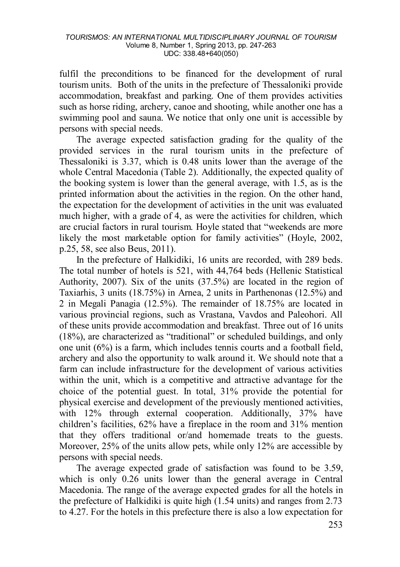fulfil the preconditions to be financed for the development of rural tourism units. Both of the units in the prefecture of Thessaloniki provide accommodation, breakfast and parking. One of them provides activities such as horse riding, archery, canoe and shooting, while another one has a swimming pool and sauna. We notice that only one unit is accessible by persons with special needs.

The average expected satisfaction grading for the quality of the provided services in the rural tourism units in the prefecture of Thessaloniki is 3.37, which is 0.48 units lower than the average of the whole Central Macedonia (Table 2). Additionally, the expected quality of the booking system is lower than the general average, with 1.5, as is the printed information about the activities in the region. On the other hand, the expectation for the development of activities in the unit was evaluated much higher, with a grade of 4, as were the activities for children, which are crucial factors in rural tourism. Hoyle stated that "weekends are more likely the most marketable option for family activities" (Hoyle, 2002, p.25, 58, see also Beus, 2011).

In the prefecture of Halkidiki, 16 units are recorded, with 289 beds. The total number of hotels is 521, with 44,764 beds (Hellenic Statistical Authority, 2007). Six of the units (37.5%) are located in the region of Taxiarhis, 3 units (18.75%) in Arnea, 2 units in Parthenonas (12.5%) and 2 in Megali Panagia (12.5%). The remainder of 18.75% are located in various provincial regions, such as Vrastana, Vavdos and Paleohori. All of these units provide accommodation and breakfast. Three out of 16 units (18%), are characterized as "traditional" or scheduled buildings, and only one unit (6%) is a farm, which includes tennis courts and a football field, archery and also the opportunity to walk around it. We should note that a farm can include infrastructure for the development of various activities within the unit, which is a competitive and attractive advantage for the choice of the potential guest. In total, 31% provide the potential for physical exercise and development of the previously mentioned activities, with 12% through external cooperation. Additionally, 37% have children's facilities, 62% have a fireplace in the room and 31% mention that they offers traditional or/and homemade treats to the guests. Moreover, 25% of the units allow pets, while only 12% are accessible by persons with special needs.

The average expected grade of satisfaction was found to be 3.59, which is only 0.26 units lower than the general average in Central Macedonia. The range of the average expected grades for all the hotels in the prefecture of Halkidiki is quite high (1.54 units) and ranges from 2.73 to 4.27. For the hotels in this prefecture there is also a low expectation for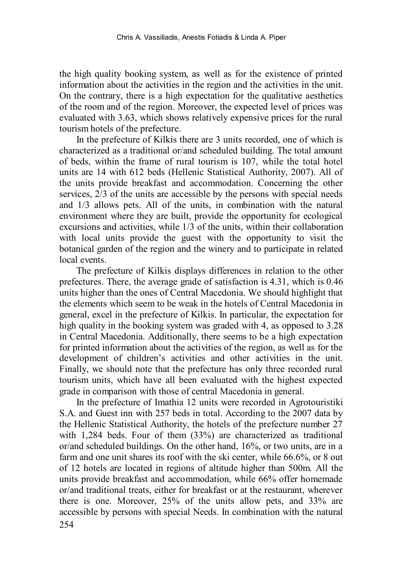the high quality booking system, as well as for the existence of printed information about the activities in the region and the activities in the unit. On the contrary, there is a high expectation for the qualitative aesthetics of the room and of the region. Moreover, the expected level of prices was evaluated with 3.63, which shows relatively expensive prices for the rural tourism hotels of the prefecture.

In the prefecture of Kilkis there are 3 units recorded, one of which is characterized as a traditional or/and scheduled building. The total amount of beds, within the frame of rural tourism is 107, while the total hotel units are 14 with 612 beds (Hellenic Statistical Authority, 2007). All of the units provide breakfast and accommodation. Concerning the other services, 2/3 of the units are accessible by the persons with special needs and 1/3 allows pets. All of the units, in combination with the natural environment where they are built, provide the opportunity for ecological excursions and activities, while 1/3 of the units, within their collaboration with local units provide the guest with the opportunity to visit the botanical garden of the region and the winery and to participate in related local events.

The prefecture of Kilkis displays differences in relation to the other prefectures. There, the average grade of satisfaction is 4.31, which is 0.46 units higher than the ones of Central Macedonia. We should highlight that the elements which seem to be weak in the hotels of Central Macedonia in general, excel in the prefecture of Kilkis. In particular, the expectation for high quality in the booking system was graded with 4, as opposed to 3.28 in Central Macedonia. Additionally, there seems to be a high expectation for printed information about the activities of the region, as well as for the development of children's activities and other activities in the unit. Finally, we should note that the prefecture has only three recorded rural tourism units, which have all been evaluated with the highest expected grade in comparison with those of central Macedonia in general.

In the prefecture of Imathia 12 units were recorded in Agrotouristiki S.A. and Guest inn with 257 beds in total. According to the 2007 data by the Hellenic Statistical Authority, the hotels of the prefecture number 27 with 1,284 beds. Four of them (33%) are characterized as traditional or/and scheduled buildings. On the other hand, 16%, or two units, are in a farm and one unit shares its roof with the ski center, while 66.6%, or 8 out of 12 hotels are located in regions of altitude higher than 500m. All the units provide breakfast and accommodation, while 66% offer homemade or/and traditional treats, either for breakfast or at the restaurant, wherever there is one. Moreover, 25% of the units allow pets, and 33% are accessible by persons with special Needs. In combination with the natural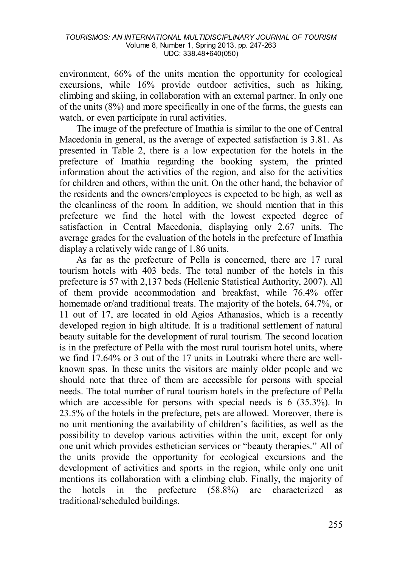environment, 66% of the units mention the opportunity for ecological excursions, while 16% provide outdoor activities, such as hiking, climbing and skiing, in collaboration with an external partner. In only one of the units (8%) and more specifically in one of the farms, the guests can watch, or even participate in rural activities.

The image of the prefecture of Imathia is similar to the one of Central Macedonia in general, as the average of expected satisfaction is 3.81. As presented in Table 2, there is a low expectation for the hotels in the prefecture of Imathia regarding the booking system, the printed information about the activities of the region, and also for the activities for children and others, within the unit. On the other hand, the behavior of the residents and the owners/employees is expected to be high, as well as the cleanliness of the room. In addition, we should mention that in this prefecture we find the hotel with the lowest expected degree of satisfaction in Central Macedonia, displaying only 2.67 units. The average grades for the evaluation of the hotels in the prefecture of Imathia display a relatively wide range of 1.86 units.

As far as the prefecture of Pella is concerned, there are 17 rural tourism hotels with 403 beds. The total number of the hotels in this prefecture is 57 with 2,137 beds (Hellenic Statistical Authority, 2007). All of them provide accommodation and breakfast, while 76.4% offer homemade or/and traditional treats. The majority of the hotels, 64.7%, or 11 out of 17, are located in old Agios Athanasios, which is a recently developed region in high altitude. It is a traditional settlement of natural beauty suitable for the development of rural tourism. The second location is in the prefecture of Pella with the most rural tourism hotel units, where we find 17.64% or 3 out of the 17 units in Loutraki where there are wellknown spas. In these units the visitors are mainly older people and we should note that three of them are accessible for persons with special needs. The total number of rural tourism hotels in the prefecture of Pella which are accessible for persons with special needs is 6 (35.3%). In 23.5% of the hotels in the prefecture, pets are allowed. Moreover, there is no unit mentioning the availability of children's facilities, as well as the possibility to develop various activities within the unit, except for only one unit which provides esthetician services or "beauty therapies." All of the units provide the opportunity for ecological excursions and the development of activities and sports in the region, while only one unit mentions its collaboration with a climbing club. Finally, the majority of the hotels in the prefecture (58.8%) are characterized as traditional/scheduled buildings.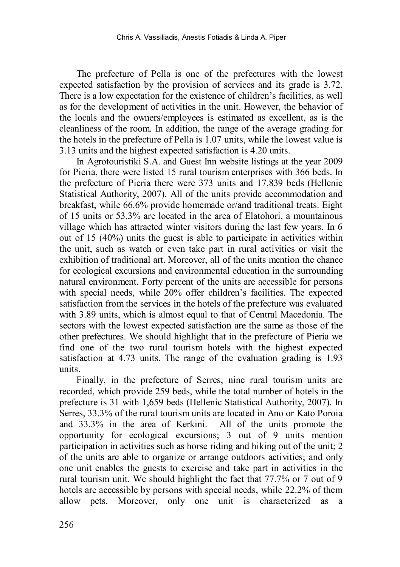The prefecture of Pella is one of the prefectures with the lowest expected satisfaction by the provision of services and its grade is 3.72. There is a low expectation for the existence of children's facilities, as well as for the development of activities in the unit. However, the behavior of the locals and the owners/employees is estimated as excellent, as is the cleanliness of the room. In addition, the range of the average grading for the hotels in the prefecture of Pella is 1.07 units, while the lowest value is 3.13 units and the highest expected satisfaction is 4.20 units.

In Agrotouristiki S.A. and Guest Inn website listings at the year 2009 for Pieria, there were listed 15 rural tourism enterprises with 366 beds. In the prefecture of Pieria there were 373 units and 17,839 beds (Hellenic Statistical Authority, 2007). All of the units provide accommodation and breakfast, while 66.6% provide homemade or/and traditional treats. Eight of 15 units or 53.3% are located in the area of Elatohori, a mountainous village which has attracted winter visitors during the last few years. In 6 out of 15 (40%) units the guest is able to participate in activities within the unit, such as watch or even take part in rural activities or visit the exhibition of traditional art. Moreover, all of the units mention the chance for ecological excursions and environmental education in the surrounding natural environment. Forty percent of the units are accessible for persons with special needs, while 20% offer children's facilities. The expected satisfaction from the services in the hotels of the prefecture was evaluated with 3.89 units, which is almost equal to that of Central Macedonia. The sectors with the lowest expected satisfaction are the same as those of the other prefectures. We should highlight that in the prefecture of Pieria we find one of the two rural tourism hotels with the highest expected satisfaction at 4.73 units. The range of the evaluation grading is 1.93 units.

Finally, in the prefecture of Serres, nine rural tourism units are recorded, which provide 259 beds, while the total number of hotels in the prefecture is 31 with 1,659 beds (Hellenic Statistical Authority, 2007). In Serres, 33.3% of the rural tourism units are located in Ano or Kato Poroia and 33.3% in the area of Kerkini. All of the units promote the opportunity for ecological excursions; 3 out of 9 units mention participation in activities such as horse riding and hiking out of the unit; 2 of the units are able to organize or arrange outdoors activities; and only one unit enables the guests to exercise and take part in activities in the rural tourism unit. We should highlight the fact that 77.7% or 7 out of 9 hotels are accessible by persons with special needs, while 22.2% of them allow pets. Moreover, only one unit is characterized as a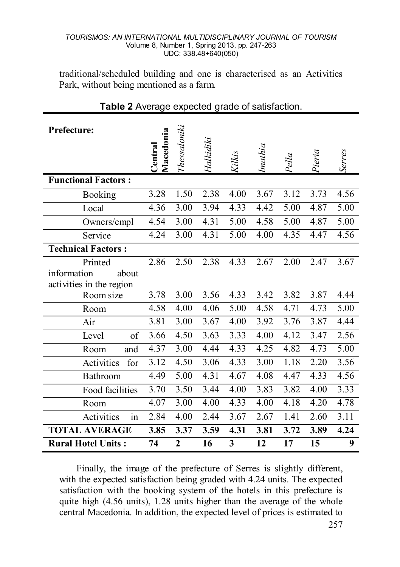traditional/scheduled building and one is characterised as an Activities Park, without being mentioned as a farm.

| Prefecture:                                      |                      |                |           |        |         |       |        |                   |
|--------------------------------------------------|----------------------|----------------|-----------|--------|---------|-------|--------|-------------------|
|                                                  | Macedonia<br>Central | Thessaloniki   | Halkidiki | Kilkis | Imathia | Pella | Pieria | Serres            |
| <b>Functional Factors:</b>                       |                      |                |           |        |         |       |        |                   |
| Booking                                          | 3.28                 | 1.50           | 2.38      | 4.00   | 3.67    | 3.12  | 3.73   | 4.56              |
| Local                                            | 4.36                 | 3.00           | 3.94      | 4.33   | 4.42    | 5.00  | 4.87   | 5.00              |
| Owners/empl                                      | 4.54                 | 3.00           | 4.31      | 5.00   | 4.58    | 5.00  | 4.87   | 5.00              |
| Service                                          | 4.24                 | 3.00           | 4.31      | 5.00   | 4.00    | 4.35  | 4.47   | 4.56              |
| <b>Technical Factors:</b>                        |                      |                |           |        |         |       |        |                   |
| Printed                                          | 2.86                 | 2.50           | 2.38      | 4.33   | 2.67    | 2.00  | 2.47   | 3.67              |
| information<br>about<br>activities in the region |                      |                |           |        |         |       |        |                   |
| Room size                                        | 3.78                 | 3.00           | 3.56      | 4.33   | 3.42    | 3.82  | 3.87   | 4.44              |
| Room                                             | 4.58                 | 4.00           | 4.06      | 5.00   | 4.58    | 4.71  | 4.73   | 5.00              |
| Air                                              | 3.81                 | 3.00           | 3.67      | 4.00   | 3.92    | 3.76  | 3.87   | 4.44              |
| of<br>Level                                      | 3.66                 | 4.50           | 3.63      | 3.33   | 4.00    | 4.12  | 3.47   | 2.56              |
| Room<br>and                                      | 4.37                 | 3.00           | 4.44      | 4.33   | 4.25    | 4.82  | 4.73   | $\overline{5}.00$ |
| Activities<br>for                                | 3.12                 | 4.50           | 3.06      | 4.33   | 3.00    | 1.18  | 2.20   | 3.56              |
| Bathroom                                         | 4.49                 | 5.00           | 4.31      | 4.67   | 4.08    | 4.47  | 4.33   | 4.56              |
| Food facilities                                  | 3.70                 | 3.50           | 3.44      | 4.00   | 3.83    | 3.82  | 4.00   | 3.33              |
| Room                                             | 4.07                 | 3.00           | 4.00      | 4.33   | 4.00    | 4.18  | 4.20   | 4.78              |
| in<br>Activities                                 | 2.84                 | 4.00           | 2.44      | 3.67   | 2.67    | 1.41  | 2.60   | 3.11              |
| <b>TOTAL AVERAGE</b>                             | 3.85                 | 3.37           | 3.59      | 4.31   | 3.81    | 3.72  | 3.89   | 4.24              |
| <b>Rural Hotel Units:</b>                        | 74                   | $\overline{2}$ | 16        | 3      | 12      | 17    | 15     | 9                 |

### **Table 2** Average expected grade of satisfaction.

Finally, the image of the prefecture of Serres is slightly different, with the expected satisfaction being graded with 4.24 units. The expected satisfaction with the booking system of the hotels in this prefecture is quite high (4.56 units), 1.28 units higher than the average of the whole central Macedonia. In addition, the expected level of prices is estimated to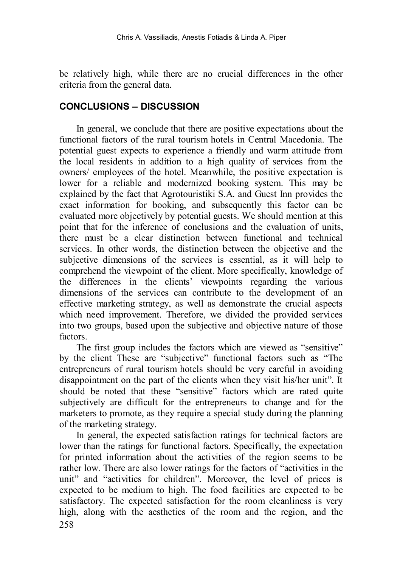be relatively high, while there are no crucial differences in the other criteria from the general data.

#### **CONCLUSIONS – DISCUSSION**

In general, we conclude that there are positive expectations about the functional factors of the rural tourism hotels in Central Macedonia. The potential guest expects to experience a friendly and warm attitude from the local residents in addition to a high quality of services from the owners/ employees of the hotel. Meanwhile, the positive expectation is lower for a reliable and modernized booking system. This may be explained by the fact that Agrotouristiki S.A. and Guest Inn provides the exact information for booking, and subsequently this factor can be evaluated more objectively by potential guests. We should mention at this point that for the inference of conclusions and the evaluation of units, there must be a clear distinction between functional and technical services. In other words, the distinction between the objective and the subjective dimensions of the services is essential, as it will help to comprehend the viewpoint of the client. More specifically, knowledge of the differences in the clients' viewpoints regarding the various dimensions of the services can contribute to the development of an effective marketing strategy, as well as demonstrate the crucial aspects which need improvement. Therefore, we divided the provided services into two groups, based upon the subjective and objective nature of those factors.

The first group includes the factors which are viewed as "sensitive" by the client These are "subjective" functional factors such as "The entrepreneurs of rural tourism hotels should be very careful in avoiding disappointment on the part of the clients when they visit his/her unit". It should be noted that these "sensitive" factors which are rated quite subjectively are difficult for the entrepreneurs to change and for the marketers to promote, as they require a special study during the planning of the marketing strategy.

258 In general, the expected satisfaction ratings for technical factors are lower than the ratings for functional factors. Specifically, the expectation for printed information about the activities of the region seems to be rather low. There are also lower ratings for the factors of "activities in the unit" and "activities for children". Moreover, the level of prices is expected to be medium to high. The food facilities are expected to be satisfactory. The expected satisfaction for the room cleanliness is very high, along with the aesthetics of the room and the region, and the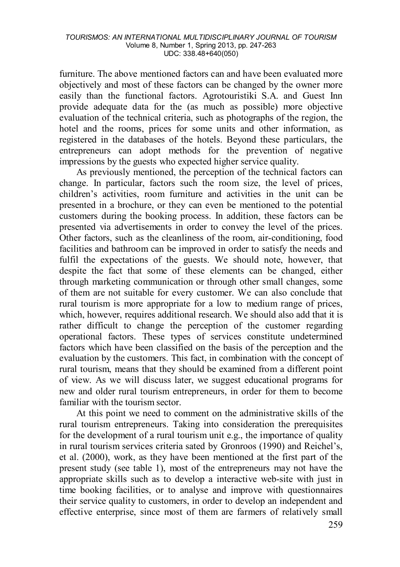furniture. The above mentioned factors can and have been evaluated more objectively and most of these factors can be changed by the owner more easily than the functional factors. Agrotouristiki S.A. and Guest Inn provide adequate data for the (as much as possible) more objective evaluation of the technical criteria, such as photographs of the region, the hotel and the rooms, prices for some units and other information, as registered in the databases of the hotels. Beyond these particulars, the entrepreneurs can adopt methods for the prevention of negative impressions by the guests who expected higher service quality.

As previously mentioned, the perception of the technical factors can change. In particular, factors such the room size, the level of prices, children's activities, room furniture and activities in the unit can be presented in a brochure, or they can even be mentioned to the potential customers during the booking process. In addition, these factors can be presented via advertisements in order to convey the level of the prices. Other factors, such as the cleanliness of the room, air-conditioning, food facilities and bathroom can be improved in order to satisfy the needs and fulfil the expectations of the guests. We should note, however, that despite the fact that some of these elements can be changed, either through marketing communication or through other small changes, some of them are not suitable for every customer. We can also conclude that rural tourism is more appropriate for a low to medium range of prices, which, however, requires additional research. We should also add that it is rather difficult to change the perception of the customer regarding operational factors. These types of services constitute undetermined factors which have been classified on the basis of the perception and the evaluation by the customers. This fact, in combination with the concept of rural tourism, means that they should be examined from a different point of view. As we will discuss later, we suggest educational programs for new and older rural tourism entrepreneurs, in order for them to become familiar with the tourism sector.

At this point we need to comment on the administrative skills of the rural tourism entrepreneurs. Taking into consideration the prerequisites for the development of a rural tourism unit e.g., the importance of quality in rural tourism services criteria sated by Gronroos (1990) and Reichel's, et al. (2000), work, as they have been mentioned at the first part of the present study (see table 1), most of the entrepreneurs may not have the appropriate skills such as to develop a interactive web-site with just in time booking facilities, or to analyse and improve with questionnaires their service quality to customers, in order to develop an independent and effective enterprise, since most of them are farmers of relatively small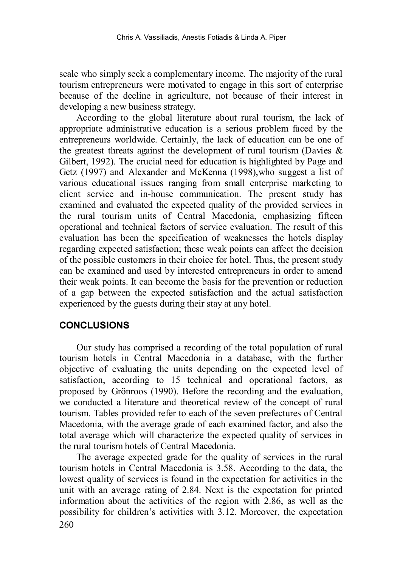scale who simply seek a complementary income. The majority of the rural tourism entrepreneurs were motivated to engage in this sort of enterprise because of the decline in agriculture, not because of their interest in developing a new business strategy.

According to the global literature about rural tourism, the lack of appropriate administrative education is a serious problem faced by the entrepreneurs worldwide. Certainly, the lack of education can be one of the greatest threats against the development of rural tourism (Davies  $\&$ Gilbert, 1992). The crucial need for education is highlighted by Page and Getz (1997) and Alexander and McKenna (1998),who suggest a list of various educational issues ranging from small enterprise marketing to client service and in-house communication. The present study has examined and evaluated the expected quality of the provided services in the rural tourism units of Central Macedonia, emphasizing fifteen operational and technical factors of service evaluation. The result of this evaluation has been the specification of weaknesses the hotels display regarding expected satisfaction; these weak points can affect the decision of the possible customers in their choice for hotel. Thus, the present study can be examined and used by interested entrepreneurs in order to amend their weak points. It can become the basis for the prevention or reduction of a gap between the expected satisfaction and the actual satisfaction experienced by the guests during their stay at any hotel.

#### **CONCLUSIONS**

Our study has comprised a recording of the total population of rural tourism hotels in Central Macedonia in a database, with the further objective of evaluating the units depending on the expected level of satisfaction, according to 15 technical and operational factors, as proposed by Grönroos (1990). Before the recording and the evaluation, we conducted a literature and theoretical review of the concept of rural tourism. Tables provided refer to each of the seven prefectures of Central Macedonia, with the average grade of each examined factor, and also the total average which will characterize the expected quality of services in the rural tourism hotels of Central Macedonia.

260 The average expected grade for the quality of services in the rural tourism hotels in Central Macedonia is 3.58. According to the data, the lowest quality of services is found in the expectation for activities in the unit with an average rating of 2.84. Next is the expectation for printed information about the activities of the region with 2.86, as well as the possibility for children's activities with 3.12. Moreover, the expectation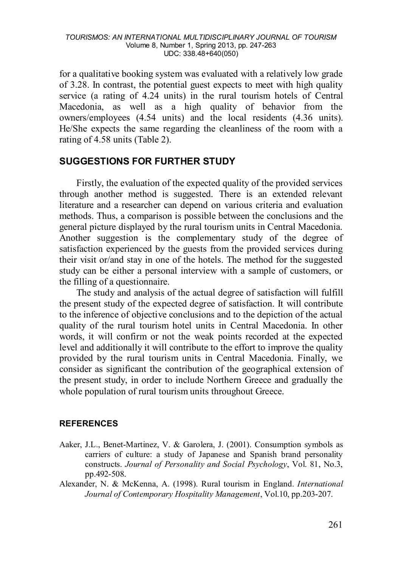for a qualitative booking system was evaluated with a relatively low grade of 3.28. In contrast, the potential guest expects to meet with high quality service (a rating of 4.24 units) in the rural tourism hotels of Central Macedonia, as well as a high quality of behavior from the owners/employees (4.54 units) and the local residents (4.36 units). He/She expects the same regarding the cleanliness of the room with a rating of 4.58 units (Table 2).

#### **SUGGESTIONS FOR FURTHER STUDY**

Firstly, the evaluation of the expected quality of the provided services through another method is suggested. There is an extended relevant literature and a researcher can depend on various criteria and evaluation methods. Thus, a comparison is possible between the conclusions and the general picture displayed by the rural tourism units in Central Macedonia. Another suggestion is the complementary study of the degree of satisfaction experienced by the guests from the provided services during their visit or/and stay in one of the hotels. The method for the suggested study can be either a personal interview with a sample of customers, or the filling of a questionnaire.

The study and analysis of the actual degree of satisfaction will fulfill the present study of the expected degree of satisfaction. It will contribute to the inference of objective conclusions and to the depiction of the actual quality of the rural tourism hotel units in Central Macedonia. In other words, it will confirm or not the weak points recorded at the expected level and additionally it will contribute to the effort to improve the quality provided by the rural tourism units in Central Macedonia. Finally, we consider as significant the contribution of the geographical extension of the present study, in order to include Northern Greece and gradually the whole population of rural tourism units throughout Greece.

#### **REFERENCES**

- Aaker, J.L., Benet-Martinez, V. & Garolera, J. (2001). Consumption symbols as carriers of culture: a study of Japanese and Spanish brand personality constructs. *Journal of Personality and Social Psychology*, Vol. 81, No.3, pp.492-508.
- Alexander, N. & McKenna, A. (1998). Rural tourism in England. *International Journal of Contemporary Hospitality Management*, Vol.10, pp.203-207.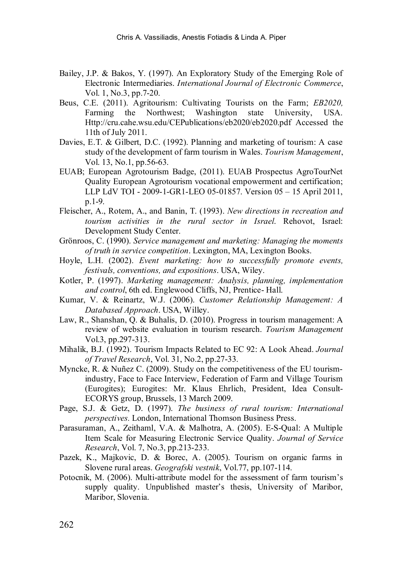- Bailey, J.P. & Bakos, Y. (1997). An Exploratory Study of the Emerging Role of Electronic Intermediaries. *International Journal of Electronic Commerce*, Vol. 1, No.3, pp.7-20.
- Beus, C.E. (2011). Agritourism: Cultivating Tourists on the Farm; *EB2020,* Farming the Northwest; Washington state University, USA. Http://cru.cahe.wsu.edu/CEPublications/eb2020/eb2020.pdf Accessed the 11th of July 2011.
- Davies, E.T. & Gilbert, D.C. (1992). Planning and marketing of tourism: A case study of the development of farm tourism in Wales. *Tourism Management*, Vol. 13, No.1, pp.56-63.
- EUAB; European Agrotourism Badge, (2011). EUAB Prospectus AgroTourNet Quality European Agrotourism vocational empowerment and certification; LLP LdV TOI - 2009-1-GR1-LEO 05-01857. Version 05 – 15 April 2011, p.1-9.
- Fleischer, A., Rotem, A., and Banin, T. (1993). *New directions in recreation and tourism activities in the rural sector in Israel*. Rehovot, Israel: Development Study Center.
- Grönroos, C. (1990). *Service management and marketing: Managing the moments of truth in service competition*. Lexington, MA, Lexington Books.
- Hoyle, L.H. (2002). *Event marketing: how to successfully promote events, festivals, conventions, and expositions*. USA, Wiley.
- Kotler, P. (1997). *Marketing management: Analysis, planning, implementation and control*, 6th ed. Englewood Cliffs, NJ, Prentice- Hall.
- Kumar, V. & Reinartz, W.J. (2006). *Customer Relationship Management: A Databased Approach*. USA, Willey.
- Law, R., Shanshan, Q. & Buhalis, D. (2010). Progress in tourism management: A review of website evaluation in tourism research. *Tourism Management* Vol.3, pp.297-313.
- Mihalik, B.J. (1992). Tourism Impacts Related to EC 92: A Look Ahead. *Journal of Travel Research*, Vol. 31, No.2, pp.27-33.
- Myncke, R. & Nuñez C. (2009). Study on the competitiveness of the EU tourismindustry, Face to Face Interview, Federation of Farm and Village Tourism (Eurogites); Eurogites: Mr. Klaus Ehrlich, President, Idea Consult-ECORYS group, Brussels, 13 March 2009.
- Page, S.J. & Getz, D. (1997). *The business of rural tourism: International perspectives.* London, International Thomson Business Press.
- Parasuraman, A., Zeithaml, V.A. & Malhotra, A. (2005). E-S-Qual: A Multiple Item Scale for Measuring Electronic Service Quality. *Journal of Service Research*, Vol. 7, No.3, pp.213-233.
- Pazek, K., Majkovic, D. & Borec, A. (2005). Tourism on organic farms in Slovene rural areas. *Geografski vestnik*, Vol.77, pp.107-114.
- Potocnik, M. (2006). Multi-attribute model for the assessment of farm tourism's supply quality. Unpublished master's thesis, University of Maribor, Maribor, Slovenia.